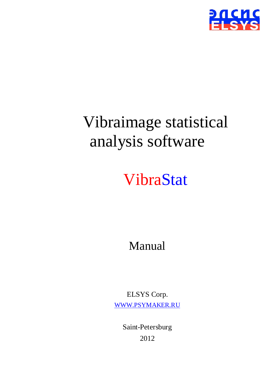

# Vibraimage statistical analysis software

## VibraStat

Manual

ELSYS Corp. [WWW.PSYMAKER.RU](http://www.psymaker.ru/)

> Saint-Petersburg 2012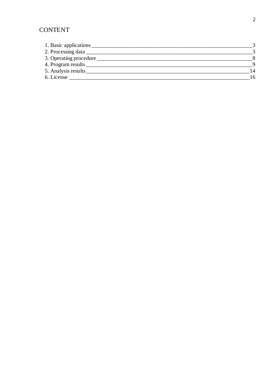## **CONTENT**

| 1. Basic applications  |  |
|------------------------|--|
|                        |  |
| 3. Operating procedure |  |
| 4. Program results     |  |
| 5. Analysis results    |  |
| 6. License             |  |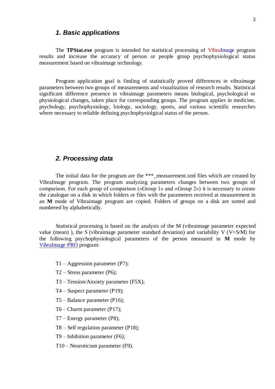## <span id="page-2-0"></span>*1. Basic applications*

The **TPStat.exe** program is intended for statistical processing of VibraImage program results and increase the accuracy of person or people group psychophysiological status measurement based on vibraimage technology.

Program application goal is finding of statistically proved differences in vibraimage parameters between two groups of measurements and visualization of research results. Statistical significant difference presence in vibraimage parameters means biological, psychological or physiological changes, taken place for corresponding groups. The program applies in medicine, psychology, psychophysiology, biology, sociology, sports, and various scientific researches where necessary to reliable defining psychophysiolgical status of the person.

## <span id="page-2-1"></span>*2. Processing data*

The initial data for the program are the  $***$  measurement.xml files which are created by VibraImage program. The program analyzing parameters changes between two groups of comparison. For each group of comparison («Group 1» and «Group 2») it is necessary to create the catalogue on a disk in which folders or files with the parameters received at measurement in an **M** mode of Vibraimage program are copied. Folders of groups on a disk are sorted and numbered by alphabetically.

Statistical processing is based on the analysis of the M (vibraimage parameter expected value (mean)), the S (vibraimage parameter standard deviation) and variability V (V=S/M) for the following psychophysiological parameters of the person measured in **M** mode by [VibraImage](http://www.psymaker.com/downloads/VI7_5ManualRus.pdf) PRO program:

- $T1 Aggression parameter (P7);$
- Т2 Stress parameter (Р6);
- Т3 Tension/Anxiety parameter (F5X);
- Т4 Suspect parameter (Р19);
- Т5 Balance parameter (Р16);
- Т6 Charm parameter (Р17);
- Т7 Energy parameter (Р8);
- Т8 Self regulation parameter (Р18);
- Т9 Inhibition parameter (F6);
- Т10 Neuroticism parameter (F9).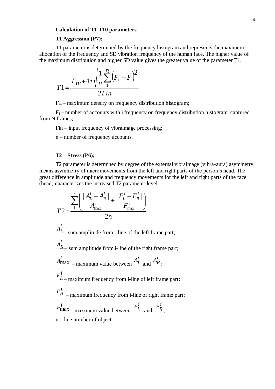#### **Calculation of T1-T10 parameters**

#### **T1 Aggression (Р7);**

T1 parameter is determined by the frequency histogram and represents the maximum allocation of the frequency and SD vibration frequency of the human face. The higher value of the maximum distribution and higher SD value gives the greater value of the parameter T1.

$$
T1 = \frac{F_m + 4 \cdot \sqrt{\frac{1}{n} \sum_{i=1}^{n} (F_i - \overline{F})^2}}{2Fin}
$$

 $F_m$  – maximum density on frequency distribution histogram;

 $F_i$  – number of accounts with i frequency on frequency distribution histogram, captured from N frames;

Fin – input frequency of vibraimage processing;

n – number of frequency accounts.

#### **Т2 – Stress (Р6);**

T2 parameter is determined by degree of the external vibraimage (vibra-aura) asymmetry, means asymmetry of micromovements from the left and right parts of the person's head. The great difference in amplitude and frequency movements for the left and right parts of the face (head) characterizes the increased T2 parameter level.

$$
T2 = \frac{\sum_{1}^{n} \left( \frac{|A_{L}^{i} - A_{R}^{i}|}{A_{\max}^{i}} + \frac{|F_{L}^{i} - F_{R}^{i}|}{F_{\max}^{i}} \right)}{2n}
$$

*i*  $A_L^l$ – sum amplitude from i-line of the left frame part; *i*  $A_R^l$  – sum amplitude from i-line of the right frame part;  $A_{\text{max}}^i$  – maximum value between  $A_I^i$  $A_L^l$ and *i*  $A_R^l$ <sub>;</sub> *i*  $F_L^l$ – maximum frequency from i-line of left frame part; *i R F* – maximum frequency from i-line of right frame part;  $F_{\text{max}}^i$ <sub>– maximum value between</sub>  $F_I^i$  $F_L^l$  and *i R F* ; n – line number of object.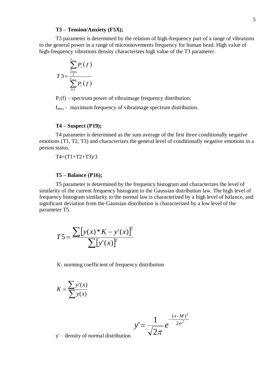#### **Т3 – Tension/Anxiety (F5X);**

T3 parameter is determined by the relation of high-frequency part of a range of vibrations to the general power in a range of micromovements frequency for human head. High value of high-frequency vibrations density characterizes high value of the T3 parameter.

$$
T3 = \frac{\sum_{f_{\text{max}}}{f_{\text{max}}}}{\sum_{f_{\text{max}}}{P_i(f)}}
$$

 $P_i(f)$  – spectrum power of vibraimage frequency distribution;

 $f_{\text{max}}$  – maximum frequency of vibraimage spectrum distribution.

#### **Т4 – Suspect (Р19);**

T4 parameter is determined as the sum average of the first three conditionally negative emotions (T1, T2, T3) and characterizes the general level of conditionally negative emotions in a person status.

T4=(T1+T2+T3)/3

## **Т5 – Balance (Р16);**

T5 parameter is determined by the frequency histogram and characterizes the level of similarity of the current frequency histogram to the Gaussian distribution law. The high level of frequency histogram similarity to the normal law is characterized by a high level of balance, and significant deviation from the Gaussian distribution is characterized by a low level of the parameter T5.

$$
T5 = \frac{\sum [y(x) * K - y'(x)]^2}{\sum [y'(x)]^2}
$$

К- norming coefficient of frequency distribution

$$
K = \frac{\sum y'(x)}{\sum y(x)}
$$

$$
y' = \frac{1}{\sqrt{2\pi}} e^{-\frac{(x-M)^2}{2\sigma^2}}
$$

y' – density of normal distribution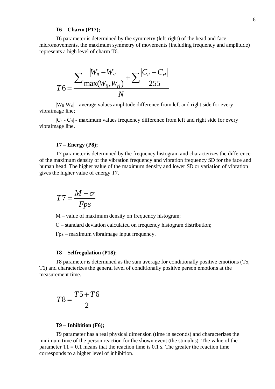#### **Т6 – Charm (Р17);**

T6 parameter is determined by the symmetry (left-right) of the head and face micromovements, the maximum symmetry of movements (including frequency and amplitude) represents a high level of charm T6.

$$
T6 = \frac{\sum \frac{|W_{li} - W_{ri}|}{\max(W_{li}, W_{ri})} + \sum \frac{|C_{li} - C_{ri}|}{255}}{N}
$$

 $|W_{li} - W_{ri}|$  - average values amplitude difference from left and right side for every vibraimage line;

 $|C_{li} - C_{ri}|$  - maximum values frequency difference from left and right side for every vibraimage line.

#### **Т7 – Energy (Р8);**

T7 parameter is determined by the frequency histogram and characterizes the difference of the maximum density of the vibration frequency and vibration frequency SD for the face and human head. The higher value of the maximum density and lower SD or variation of vibration gives the higher value of energy T7.

$$
T7 = \frac{M - \sigma}{Fps}
$$

M – value of maximum density on frequency histogram;

С – standard deviation calculated on frequency histogram distribution;

Fps – maximum vibraimage input frequency.

#### **Т8 – Selfregulation (Р18);**

T8 parameter is determined as the sum average for conditionally positive emotions (T5, T6) and characterizes the general level of conditionally positive person emotions at the measurement time.

$$
T8 = \frac{T5 + T6}{2}
$$

#### **Т9 – Inhibition (F6);**

T9 parameter has a real physical dimension (time in seconds) and characterizes the minimum time of the person reaction for the shown event (the stimulus). The value of the parameter  $T1 = 0.1$  means that the reaction time is 0.1 s. The greater the reaction time corresponds to a higher level of inhibition.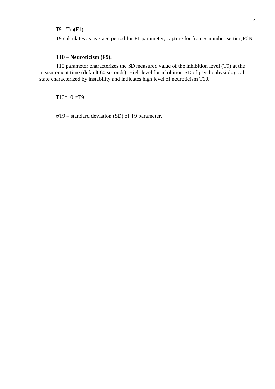## $T9 = Tm(F1)$

T9 calculates as average period for F1 parameter, capture for frames number setting F6N.

## **Т10 – Neuroticism (F9).**

T10 parameter characterizes the SD measured value of the inhibition level (T9) at the measurement time (default 60 seconds). High level for inhibition SD of psychophysiological state characterized by instability and indicates high level of neuroticism T10.

 $T10=10 \sigma T9$ 

 $\sigma$ T9 – standard deviation (SD) of T9 parameter.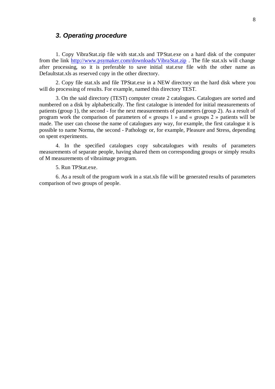## <span id="page-7-0"></span>*3. Operating procedure*

1. Copy VibraStat.zip file with stat.xls and TPStat.exe on a hard disk of the computer from the link<http://www.psymaker.com/downloads/VibraStat.zip> . The file stat.xls will change after processing, so it is preferable to save initial stat.exe file with the other name as Defaultstat.xls as reserved copy in the other directory.

2. Copy file stat.xls and file TPStat.exe in a NEW directory on the hard disk where you will do processing of results. For example, named this directory TEST.

3. On the said directory (TEST) computer create 2 catalogues. Catalogues are sorted and numbered on a disk by alphabetically. The first catalogue is intended for initial measurements of patients (group 1), the second - for the next measurements of parameters (group 2). As a result of program work the comparison of parameters of « groups 1 » and « groups 2 » patients will be made. The user can choose the name of catalogues any way, for example, the first catalogue it is possible to name Norma, the second - Pathology or, for example, Pleasure and Stress, depending on spent experiments.

4. In the specified catalogues copy subcatalogues with results of parameters measurements of separate people, having shared them on corresponding groups or simply results of M measurements of vibraimage program.

5. Run TPStat.exe.

6. As a result of the program work in a stat.xls file will be generated results of parameters comparison of two groups of people.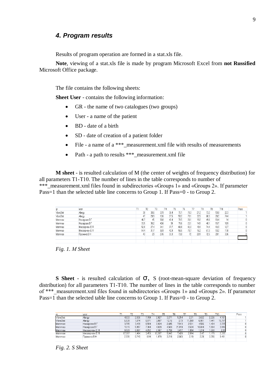## <span id="page-8-0"></span>*4. Program results*

Results of program operation are formed in a stat.xls file.

**Note**, viewing of a stat.xls file is made by program Microsoft Excel from **not Russified** Microsoft Office package.

The file contains the following sheets:

**Sheet User** - contains the following information:

- GR the name of two catalogues (two groups)
- User a name of the patient
- BD date of a birth
- SD date of creation of a patient folder
- File a name of a \*\*\*\_measurement.xml file with results of measurements
- Path a path to results \*\*\*\_measurement.xml file

**M sheet** - is resulted calculation of M (the center of weights of frequency distribution) for all parameters Т1-Т10. The number of lines in the table corresponds to number of \*\*\* measurement.xml files found in subdirectories «Groups 1» and «Groups 2». If parameter Pass=1 than the selected table line concerns to Group 1. If Pass=0 - to Group 2.

| gr        | user          | T1   |      | B    |      |     |      | TG.  |      | Т8   |      | T10  | Pass |
|-----------|---------------|------|------|------|------|-----|------|------|------|------|------|------|------|
| VibraStat | Alergy        | 38   | 33,6 | 37.9 | 36,4 |     | 75,1 | 70.3 | 21.2 | 73,2 | 13.8 | 22.3 |      |
| VibraStat | Alergy        | 47   | 20,9 | 12.6 | 27.5 |     | 58.2 | 79,1 | 32,5 | 68,3 | 20,2 | 744  |      |
| Mammae    | Назарова В Г  | 46,7 | 45   | 36.8 | 42,4 |     | 71.5 | 28.1 | 19.2 | 49,6 | 13,4 |      |      |
| Mammae    | Назарова В Г  | 33,5 | 35,2 | 40,6 |      | 38. | 71,6 | 23,1 | 14,1 | 48.1 | 13,7 | 18,9 |      |
| Mammae    | Мессерман Е Я | 52,8 | 27,4 | 34.1 | 37.7 |     | 66.9 | 82,3 | 18,1 | 744  | 13,3 | 12.7 |      |
| Mammae    | Мессерман Е Я | 54.4 | 31.7 | 36,9 | 42.9 |     | 56,5 | 79,7 | 16,2 | 67.3 | 13,2 | 11.8 |      |
| Mammae    | Пронина В Н   | 43   | 29   | 27.6 | 33.3 |     | 73.8 | 72   | 28.1 | 72.5 | 20.7 | 33.6 |      |
|           |               |      |      |      |      |     |      |      |      |      |      |      |      |
|           |               |      |      |      |      |     |      |      |      |      |      |      |      |

*Fig. 1. М Sheet*

**S Sheet** - is resulted calculation of σ, S (root-mean-square deviation of frequency distribution) for all parameters Т1-Т10. The number of lines in the table corresponds to number of \*\*\* measurement.xml files found in subdirectories «Groups 1» and «Groups 2». If parameter Pass=1 than the selected table line concerns to Group 1. If Pass=0 - to Group 2.

| ar        | user          |        |       |       | T4 |        |       |        |       |        |       | T10    | Pass |
|-----------|---------------|--------|-------|-------|----|--------|-------|--------|-------|--------|-------|--------|------|
| VibraStat | Alergy        | 4.033  | 2,936 | 7,789 |    | 2.927  | 3.271 | 5,254  | 2.31  | 3,632  | 2,226 | 4.161  |      |
| VibraStat | Alergy        | 6.539  | .874  | 8.971 |    | 3.807  | 12.16 | 2.73   | 1.269 | 6.991  | 7.441 | 15.717 |      |
| Mammae    | Назарова В Г  | 3,705  | 3,439 | 8,504 |    | 2.924  | 2,685 | 7,913  | 2,531 | 4.566  | .404  | 2,725  |      |
| Mammae    | Назарова В Г  | 10.15  | 5.957 | 7.364 |    | 4.829  | 4.503 | 21.819 | 3.524 | 10.614 | .894  | 3.916  |      |
| Mammae    | Мессерман Е Я | 9.529  | 0,807 | 4,052 |    | 2,367  | 2.758 | 3,477  | .994  | 1,274  | .268  | 2.99   |      |
| Mammae    | Мессерман Е Я | '7.267 | .464  | 3.453 |    | 12.207 | 9.042 | / 428  | 2.094 | 2.47   | .179  | 2.335  |      |
| Mammae    | Пронина В Н   | 2,331  | 0.743 | 6.94  |    | 1.979  | 3.218 | 2.683  | 2.19  | 2.28   | 3.356 | 9,411  |      |

*Fig. 2. S Sheet*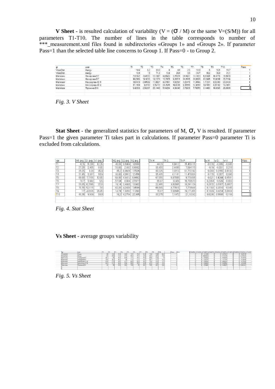**V** Sheet - is resulted calculation of variability ( $V = (\sigma / M)$  or the same V=(S/M)) for all parameters Т1-Т10. The number of lines in the table corresponds to number of \*\*\* measurement.xml files found in subdirectories «Groups 1» and «Groups 2». If parameter Pass=1 than the selected table line concerns to Group 1. If Pass=0 - to Group 2.

| gı        | user          |         | Τ2      |         |         |         | T <sub>6</sub> |         | T8      | T9      | T10     | Pass |
|-----------|---------------|---------|---------|---------|---------|---------|----------------|---------|---------|---------|---------|------|
| VibraStat | Alergy        | 10.6    |         | 20.6    |         | 4.4     | ు              | 10.9    |         | 16.1    | 18.7    |      |
| VibraStat | Alerav        | 13.9    |         | 71.2    | 13.8    | 20.9    | 3.5            | 34.7    | 10.2    | 36.8    | 21.1    |      |
| Mammae    | Назарова В Г  | 7.93362 | 7.64222 | 23.1087 | 6.89623 | 3.75524 | 28.1601        | 13.1823 | 9.20565 | 10.4776 | 19.4643 |      |
| Mammae    | Назарова В Г  | 30,2985 | 16,9233 | 18,1379 | 12,7079 | 6,28911 | 94,4545        | 24,9929 | 22,0665 | 13,8248 | 20,7196 |      |
| Mammae    | Мессерман Е Я | 18,0473 | 2.94526 | 1,8827  | 6.27851 | 4.12257 | 4,22479        | 11.0166 | .71237  | 9.53383 | 23.5433 |      |
| Mammae    | Мессерман Е Я | 31.7408 | 4.6183  | 9.35772 | 28.4545 | 16.0035 | 9.31995        | 12.9259 | 3.67013 | 8.93182 | 19.7881 |      |
| Mammae    | Пронина В Н   | 5,42093 | 2.56207 | 25,1449 | 5.94294 | 4,36043 | 3,72639        | ,79359  | 3,14483 | 16,6965 | 28.0089 |      |
|           |               |         |         |         |         |         |                |         |         |         |         |      |
|           |               |         |         |         |         |         |                |         |         |         |         |      |

*Fig. 3. V Sheet*

**Stat Sheet** - the generalized statistics for parameters of M, σ, V is resulted. If parameter Pass=1 the given parameter Ti takes part in calculations. If parameter Pass=0 parameter Ti is excluded from calculations.

| var             |                 | M1 avg S1 avg | IV1 avo | M2 avg S2 avg |        | IV <sub>2</sub> avg | Th M   | Th S    | Th P      | lw M                 | lw S     | lw V     | Pass |
|-----------------|-----------------|---------------|---------|---------------|--------|---------------------|--------|---------|-----------|----------------------|----------|----------|------|
|                 | 42.5            | 5.286         | 12,25   | 46.08         | 8.5964 | 18,688              | 44.29  | 6.9412  | 15.469115 | $-0.078$             | 0.385    | $-0.345$ |      |
| T <sub>2</sub>  | 27.25           | 2.405         | 8.85    | 33.66         | 2.482  | 6,9382              | 30.455 | 2.4435  | 7.894115  | $-0.19$              | $-0.031$ | 0.216    |      |
| T <sub>3</sub>  | 25.25           | 8.38          | 45.9    | 35.2          | 6.0626 | 7,526               | 30.225 | 7.2213  | 31,713192 | $-0.283$             | 0.2765   | 0.6182   |      |
| T <sub>4</sub>  | 31.95           | 3.367         | 10.9    | 38.86         | 4.8612 | 12.056              | 35.405 | 4.1141  | 11.478008 | $-0.178$             | $-0.307$ | $-0.096$ |      |
| T <sub>5</sub>  | 66.65           | .7155         | 12,65   | 68.06         | 4.4412 | 6.9062              | 67.355 | 6.07835 | 9.778085  | $-0.02$ <sup>*</sup> | 0.4244   | 0.4541   |      |
| T <sub>6</sub>  | 74.7            | 3,992         | 5.5     | 57.04         | 8.664  | 27,977              | 65.87  | 6,328   | 16,738573 | 0.2364               | $-0.539$ | $-0.803$ |      |
| T7              | 26.85           | 6.7895        | 22.8    | 19.14         | 2.4666 | 13,982              | 22.995 | 4.62805 | 18.391129 | 0.2872               | 0.6367   | 0.3867   |      |
| T <sub>8</sub>  | 70.75           | 5,3115        | 7.61    | 62.38         | 4.2408 | 7.9599              | 66.565 | 4.77615 | 7.779948  | 0.1183               | 0.2016   | $-0.045$ |      |
| T <sub>9</sub>  | 17 <sub>1</sub> | 4,8335        | 26.45   | 14.74         | .8202  | 1,893               | 15,87  | 3,32685 | 19,171455 | 0.1329               | 0.6234   | 0,5504   |      |
| T <sub>10</sub> | 48.35           | 9.939         | 19.9    | 18.2          | 4.2754 | 22.305              | 33.275 | 7.1072  | 21.10242  | 0.6236               | 0.5698   | $-0.108$ | 01   |
|                 |                 |               |         |               |        |                     |        |         |           |                      |          |          |      |
|                 |                 |               |         |               |        |                     |        |         |           |                      |          |          |      |

*Fig. 4. Stat Sheet*

### **Vs Sheet** - average groups variability

|          | u > c                     |                |                |                                         |                | <b>TR</b>        |      | <b>State</b> |      | -           | T <sub>10</sub> | Pass | skin |  |            |  |                       | ICH-RINV CO-RINV CO-RINV CO-RINV CO-RINV CO-RINV CO-RINV CO-RINV CO-RINV CO-RINV CO-RINV |                       |  |
|----------|---------------------------|----------------|----------------|-----------------------------------------|----------------|------------------|------|--------------|------|-------------|-----------------|------|------|--|------------|--|-----------------------|------------------------------------------------------------------------------------------|-----------------------|--|
| VibraSta |                           |                |                |                                         |                |                  | 70.3 |              | 732  |             |                 |      |      |  |            |  | 1,04730               |                                                                                          | <b>CARD</b><br>-0.275 |  |
| MbraSta  | Aleray                    |                | w              | 12.61                                   | $\overline{A}$ | 58.2             | 79.1 | $-26.0$      | 68.3 | 20.2        |                 |      |      |  | 4.98206    |  | $-0.5335$<br>3.161133 |                                                                                          | 0.575635              |  |
| Mammae   | Назарова В Г              | $\overline{a}$ |                | $\overline{\phantom{a}}$<br><b>MAYS</b> | $\overline{a}$ |                  | 28.  |              | 49.6 | $\sim$      |                 |      |      |  | 1,85856    |  | $-0.92929$            |                                                                                          | $-0.32836$            |  |
| Mammae   | 18 eacopcer <sup>47</sup> | 228            | $-$            |                                         |                |                  | クラ   | 143          | dR   | $\sim$      |                 |      |      |  | 93271.     |  | $-10.1114$            |                                                                                          | $-0.288$              |  |
| Mammae   | Мессерман Е.Я             | EO<br>,,,,     |                |                                         |                | 55.3             | 82.3 |              |      | 1 J.Y       |                 |      |      |  | .09535     |  | 3.88425               |                                                                                          | $-0.34166$            |  |
| Mammae   | Мессерман Е.Я.            | E.A.           | $\overline{a}$ | $-$<br><b>MATHE</b>                     | $\overline{a}$ | EC EI<br>- 30.37 | 797  |              | 57'  | 500<br>13.6 | .               |      |      |  | $-1,88683$ |  | 3.269582              |                                                                                          | $-0.35495$            |  |
| Mammae   | Пронима В Н               |                |                | 27.61                                   | nn.            |                  |      | 70           | $-$  | 20'         |                 |      |      |  | 0.7420     |  | .44920                |                                                                                          | 9,56234)              |  |
|          |                           |                |                |                                         |                |                  |      |              |      |             |                 |      |      |  |            |  |                       |                                                                                          |                       |  |
|          |                           |                |                |                                         |                |                  |      |              |      |             |                 |      |      |  |            |  |                       |                                                                                          |                       |  |

*Fig. 5. Vs Sheet*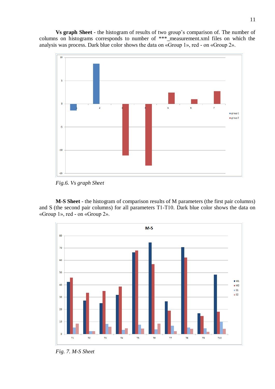**Vs graph Sheet** - the histogram of results of two group's comparison of. The number of columns on histograms corresponds to number of \*\*\*\_measurement.xml files on which the analysis was process. Dark blue color shows the data on «Group 1», red - on «Group 2».



*Fig.6. Vs graph Sheet*

**M-S Sheet** - the histogram of comparison results of M parameters (the first pair columns) and S (the second pair columns) for all parameters Т1-Т10. Dark blue color shows the data on «Group 1», red - on «Group 2».



*Fig. 7. M-S Sheet*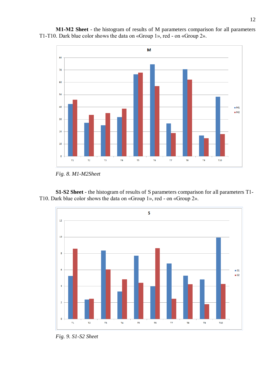

**М1-M2 Sheet** - the histogram of results of M parameters comparison for all parameters Т1-Т10. Dark blue color shows the data on «Group 1», red - on «Group 2».

**S1-S2 Sheet** - the histogram of results of S parameters comparison for all parameters Т1- Т10. Dark blue color shows the data on «Group 1», red - on «Group 2».



*Fig. 9. S1-S2 Sheet* 

*Fig. 8. M1-M2Sheet*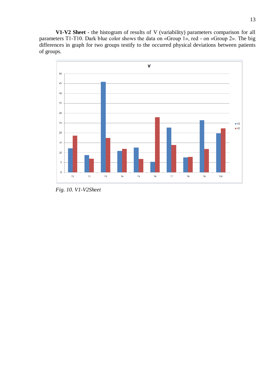**V1-V2 Sheet** - the histogram of results of V (variability) parameters comparison for all parameters T1-T10. Dark blue color shows the data on «Group 1», red - on «Group 2». The big differences in graph for two groups testify to the occurred physical deviations between patients of groups.



*Fig. 10. V1-V2Sheet*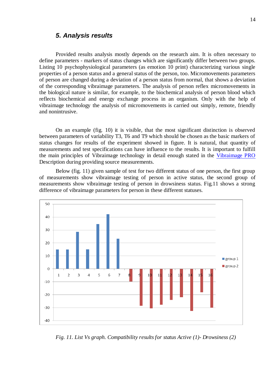## <span id="page-13-0"></span>*5. Analysis results*

Provided results analysis mostly depends on the research aim. It is often necessary to define parameters - markers of status changes which are significantly differ between two groups. Listing 10 psychophysiological parameters (as emotion 10 print) characterizing various single properties of a person status and a general status of the person, too. Micromovements parameters of person are changed during a deviation of a person status from normal, that shows a deviation of the corresponding vibraimage parameters. The analysis of person reflex micromovements in the biological nature is similar, for example, to the biochemical analysis of person blood which reflects biochemical and energy exchange process in an organism. Only with the help of vibraimage technology the analysis of micromovements is carried out simply, remote, friendly and nonintrusive.

On an example (fig. 10) it is visible, that the most significant distinction is observed between parameters of variability T3, T6 and T9 which should be chosen as the basic markers of status changes for results of the experiment showed in figure. It is natural, that quantity of measurements and test specifications can have influence to the results. It is important to fulfill the main principles of Vibraimage technology in detail enough stated in the [Vibraimage PRO](http://www.psymaker.com/downloads/VI7_5ManualRus.pdf) Description during providing source measurements.

Below (fig. 11) given sample of test for two different status of one person, the first group of measurements show vibraimage testing of person in active status, the second group of measurements show vibraimage testing of person in drowsiness status. Fig.11 shows a strong difference of vibraimage parameters for person in these different statuses.



*Fig. 11. List Vs graph. Compatibility results for status Active (1)- Drowsiness (2)*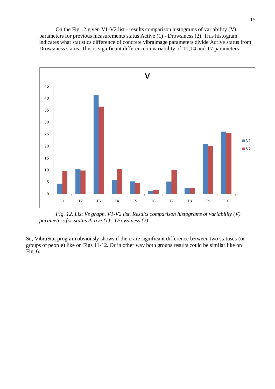On the Fig 12 given V1-V2 list - results comparison histograms of variability (V) parameters for previous measurements status Active (1) - Drowsiness (2). This histogram indicates what statistics difference of concrete vibraimage parameters divide Active status from Drowsiness status. This is significant difference in variability of T1,T4 and T7 parameters.



*Fig. 12. List Vs graph. V1-V2 list. Results comparison histograms of variability (V) parameters for status Active (1) - Drowsiness (2)* 

So, VibraStat program obviously shows if there are significant difference between two statuses (or groups of people) like on Figs 11-12. Or in other way both groups results could be similar like on Fig. 6.